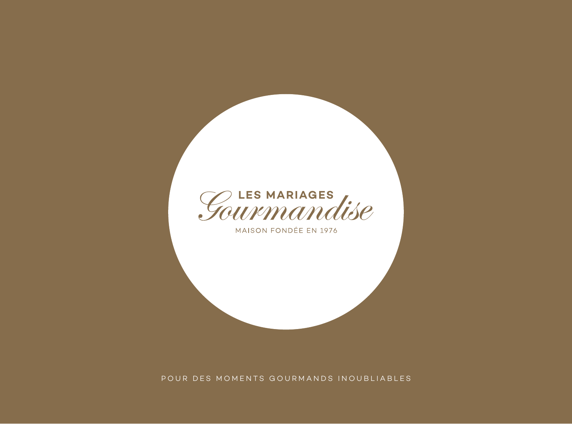

MAISON FONDÉE EN 1976

POUR DES MOMENTS GOURMANDS INOUBLIABLES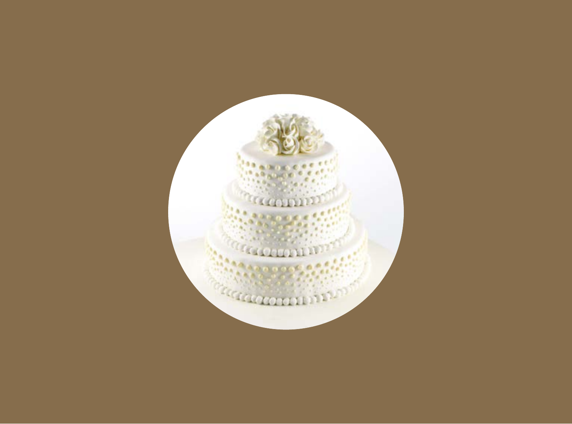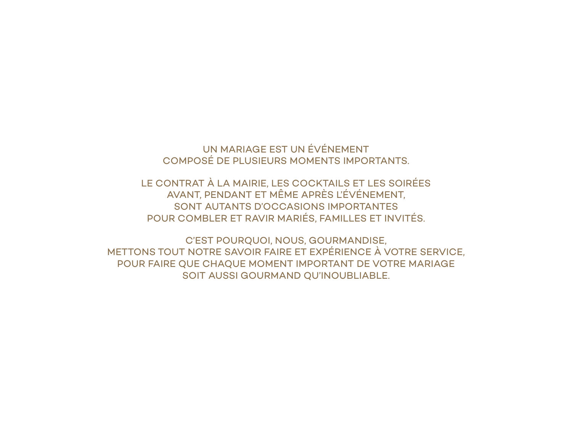UN MARIAGE EST UN ÉVÉNEMENT COMPOSÉ DE PLUSIEURS MOMENTS IMPORTANTS.

LE CONTRAT À LA MAIRIE, LES COCKTAILS ET LES SOIRÉES AVANT, PENDANT ET MÊME APRÈS L'ÉVÉNEMENT, SONT AUTANTS D'OCCASIONS IMPORTANTES POUR COMBLER ET RAVIR MARIÉS, FAMILLES ET INVITÉS.

C'EST POURQUOI, NOUS, GOURMANDISE, METTONS TOUT NOTRE SAVOIR FAIRE ET EXPÉRIENCE À VOTRE SERVICE, POUR FAIRE QUE CHAQUE MOMENT IMPORTANT DE VOTRE MARIAGE SOIT AUSSI GOURMAND QU'INOUBLIABLE.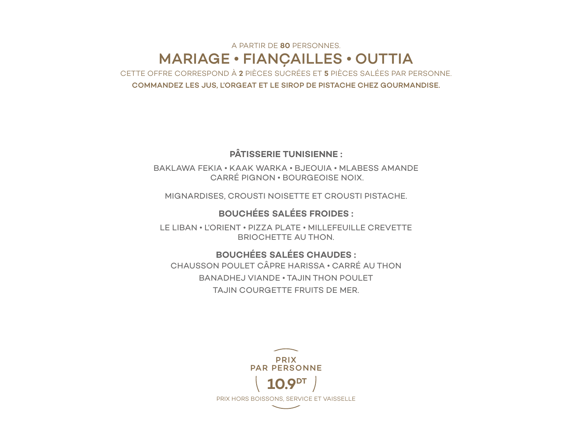# A PARTIR DE 80 PERSONNES. **MARIAGE • FIANÇAILLES • OUTTIA**

CETTE OFFRE CORRESPOND À 2 PIÈCES SUCRÉES ET 5 PIÈCES SALÉES PAR PERSONNE. COMMANDEZ LES JUS, L'ORGEAT ET LE SIROP DE PISTACHE CHEZ GOURMANDISE.

#### **PÂTISSERIE TUNISIENNE:**

BAKI AWA FFKIA • KAAK WARKA • BJFOUIA • MI ABFSS AMANDE CARRÉ PIGNON . BOURGEOISE NOIX

MIGNARDISES, CROUSTI NOISETTE ET CROUSTI PISTACHE.

## **BOUCHÉES SALÉES FROIDES :**

LE LIBAN • L'ORIENT • PIZZA PLATE • MILLEFEUILLE CREVETTE **BRIOCHETTE AU THON.** 

### **BOUCHÉES SALÉES CHAUDES:**

CHAUSSON POULET CÂPRE HARISSA • CARRÉ AU THON **BANADHEJ VIANDE . TAJIN THON POULET** TAJIN COURGETTE FRUITS DE MER.

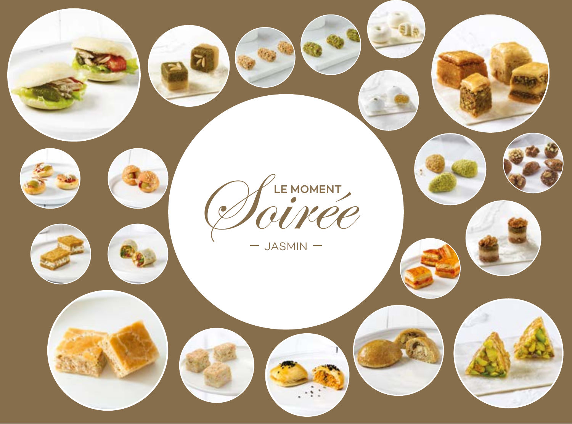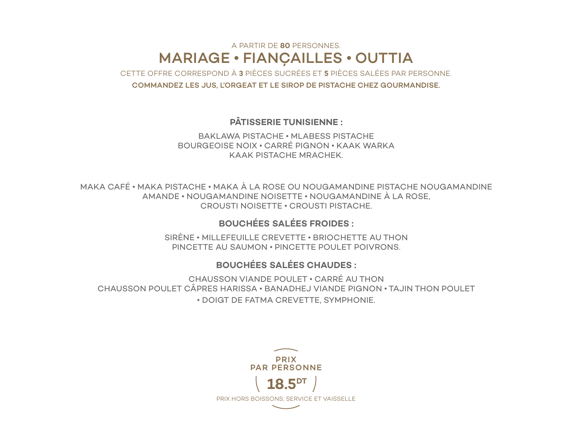# MARIAGE • FIANÇAILLES • OUTTIA A PARTIR DE **80** PERSONNES.

CETTE OFFRE CORRESPOND À **3** PIÈCES SUCRÉES ET **5** PIÈCES SALÉES PAR PERSONNE. COMMANDEZ LES JUS, L'ORGEAT ET LE SIROP DE PISTACHE CHEZ GOURMANDISE.

**PÂTISSERIE TUNISIENNE :**

BAKLAWA PISTACHE • MLABESS PISTACHE BOURGEOISE NOIX • CARRÉ PIGNON • KAAK WARKA KAAK PISTACHE MRACHEK.

MAKA CAFÉ • MAKA PISTACHE • MAKA À LA ROSE OU NOUGAMANDINE PISTACHE NOUGAMANDINE AMANDE • NOUGAMANDINE NOISETTE • NOUGAMANDINE À LA ROSE, CROUSTI NOISETTE • CROUSTI PISTACHE.

**BOUCHÉES SALÉES FROIDES :**

SIRÈNE • MILLEFEUILLE CREVETTE • BRIOCHETTE AU THON PINCETTE AU SAUMON • PINCETTE POULET POIVRONS.

**BOUCHÉES SALÉES CHAUDES :**

CHAUSSON VIANDE POULET • CARRÉ AU THON CHAUSSON POULET CÂPRES HARISSA • BANADHEJ VIANDE PIGNON • TAJIN THON POULET • DOIGT DE FATMA CREVETTE, SYMPHONIE.

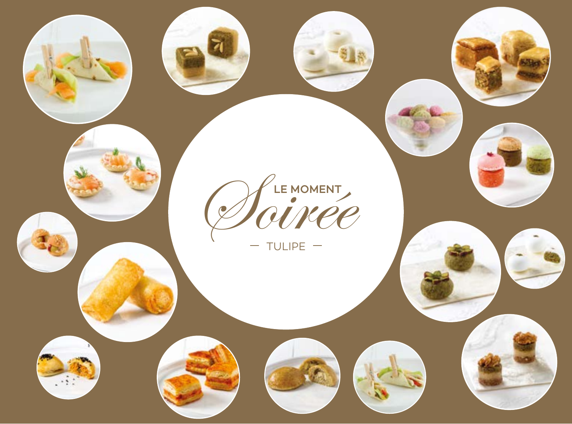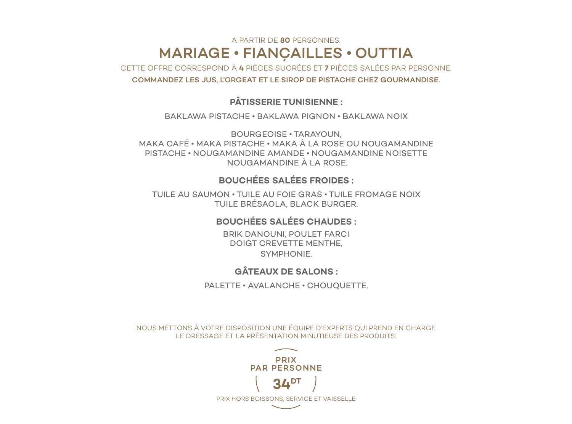# MARIAGE • FIANÇAILLES • OUTTIA A PARTIR DE **80** PERSONNES.

CETTE OFFRE CORRESPOND À **4** PIÈCES SUCRÉES ET **7** PIÈCES SALÉES PAR PERSONNE. COMMANDEZ LES JUS, L'ORGEAT ET LE SIROP DE PISTACHE CHEZ GOURMANDISE.

#### **PÂTISSERIE TUNISIENNE :**

#### BAKLAWA PISTACHE • BAKLAWA PIGNON • BAKLAWA NOIX

BOURGEOISE • TARAYOUN, MAKA CAFÉ • MAKA PISTACHE • MAKA À LA ROSE OU NOUGAMANDINE PISTACHE • NOUGAMANDINE AMANDE • NOUGAMANDINE NOISETTE NOUGAMANDINE À LA ROSE.

#### **BOUCHÉES SALÉES FROIDES :**

TUILE AU SAUMON • TUILE AU FOIE GRAS • TUILE FROMAGE NOIX TUILE BRÉSAOLA, BLACK BURGER.

#### **BOUCHÉES SALÉES CHAUDES :**

BRIK DANOUNI, POULET FARCI DOIGT CREVETTE MENTHE, SYMPHONIE.

#### **GÂTEAUX DE SALONS :**

PALETTE • AVALANCHE • CHOUQUETTE.

NOUS METTONS À VOTRE DISPOSITION UNE ÉQUIPE D'EXPERTS QUI PREND EN CHARGE LE DRESSAGE ET LA PRÉSENTATION MINUTIEUSE DES PRODUITS.

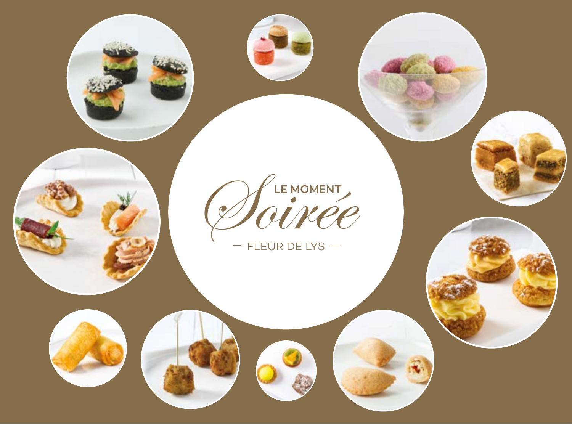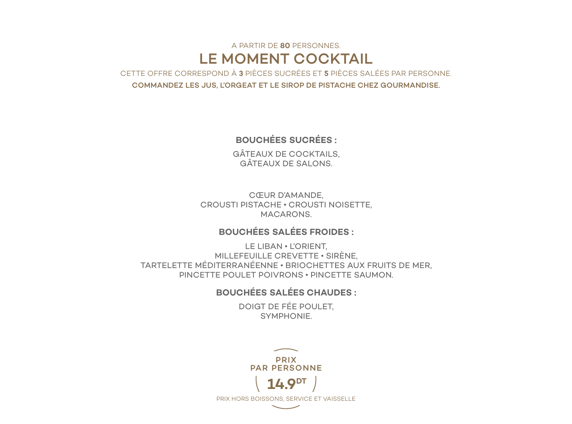# LE MOMENT COCKTAIL A PARTIR DE **80** PERSONNES.

CETTE OFFRE CORRESPOND À **3** PIÈCES SUCRÉES ET **5** PIÈCES SALÉES PAR PERSONNE. COMMANDEZ LES JUS, L'ORGEAT ET LE SIROP DE PISTACHE CHEZ GOURMANDISE.

**BOUCHÉES SUCRÉES :**

GÂTEAUX DE COCKTAILS, GÂTEAUX DE SALONS.

CŒUR D'AMANDE, CROUSTI PISTACHE • CROUSTI NOISETTE, MACARONS.

### **BOUCHÉES SALÉES FROIDES :**

LE LIBAN • L'ORIENT, MILLEFEUILLE CREVETTE • SIRÈNE, TARTELETTE MÉDITERRANÉENNE • BRIOCHETTES AUX FRUITS DE MER, PINCETTE POULET POIVRONS • PINCETTE SAUMON.

### **BOUCHÉES SALÉES CHAUDES :**

DOIGT DE FÉE POULET, SYMPHONIE.

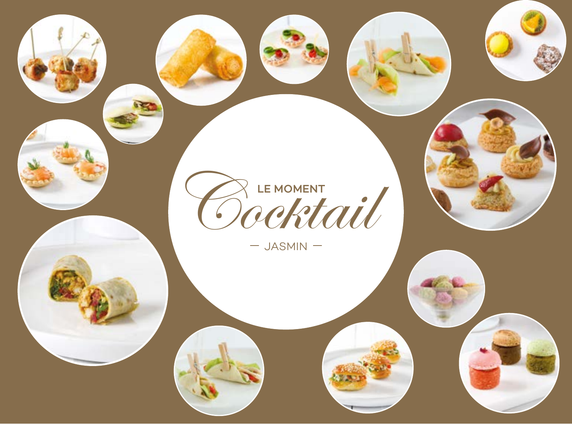

 $-$  JASMIN  $-$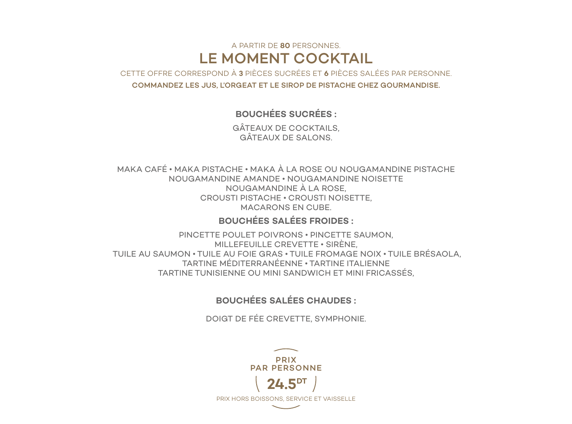# LE MOMENT COCKTAIL A PARTIR DE **80** PERSONNES.

CETTE OFFRE CORRESPOND À **3** PIÈCES SUCRÉES ET **6** PIÈCES SALÉES PAR PERSONNE. COMMANDEZ LES JUS, L'ORGEAT ET LE SIROP DE PISTACHE CHEZ GOURMANDISE.

### **BOUCHÉES SUCRÉES :**

GÂTEAUX DE COCKTAILS, GÂTEAUX DE SALONS.

MAKA CAFÉ • MAKA PISTACHE • MAKA À LA ROSE OU NOUGAMANDINE PISTACHE NOUGAMANDINE AMANDE • NOUGAMANDINE NOISETTE NOUGAMANDINE À LA ROSE, CROUSTI PISTACHE • CROUSTI NOISETTE, MACARONS EN CUBE.

## **BOUCHÉES SALÉES FROIDES :**

PINCETTE POULET POIVRONS • PINCETTE SAUMON, MILLEFEUILLE CREVETTE • SIRÈNE, TUILE AU SAUMON • TUILE AU FOIE GRAS • TUILE FROMAGE NOIX • TUILE BRÉSAOLA, TARTINE MÉDITERRANÉENNE • TARTINE ITALIENNE TARTINE TUNISIENNE OU MINI SANDWICH ET MINI FRICASSÉS,

## **BOUCHÉES SALÉES CHAUDES :**

DOIGT DE FÉE CREVETTE, SYMPHONIE.

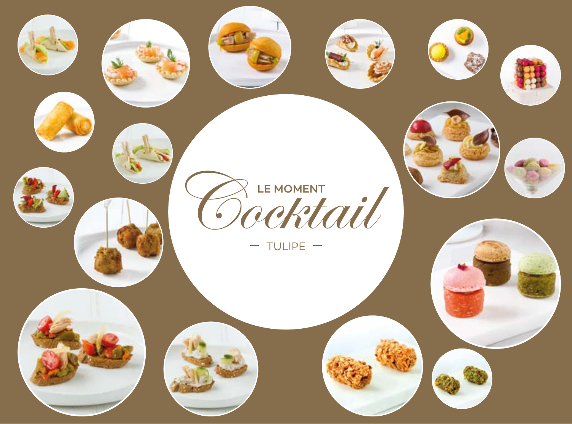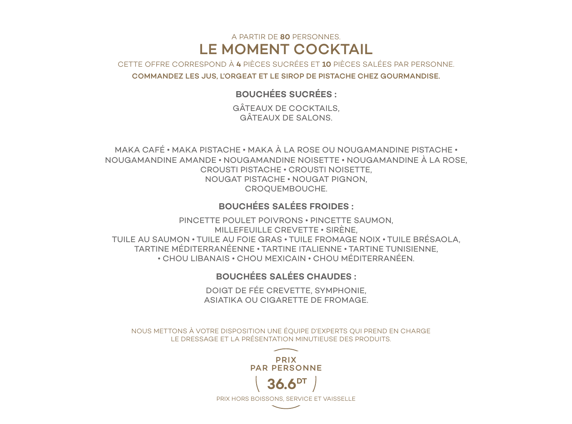# LE MOMENT COCKTAIL A PARTIR DE **80** PERSONNES.

#### CETTE OFFRE CORRESPOND À **4** PIÈCES SUCRÉES ET **10** PIÈCES SALÉES PAR PERSONNE. COMMANDEZ LES JUS, L'ORGEAT ET LE SIROP DE PISTACHE CHEZ GOURMANDISE.

## **BOUCHÉES SUCRÉES :**

GÂTEAUX DE COCKTAILS, GÂTEAUX DE SALONS.

MAKA CAFÉ • MAKA PISTACHE • MAKA À LA ROSE OU NOUGAMANDINE PISTACHE • NOUGAMANDINE AMANDE • NOUGAMANDINE NOISETTE • NOUGAMANDINE À LA ROSE, CROUSTI PISTACHE • CROUSTI NOISETTE, NOUGAT PISTACHE • NOUGAT PIGNON, CROQUEMBOUCHE.

## **BOUCHÉES SALÉES FROIDES :**

PINCETTE POULET POIVRONS • PINCETTE SAUMON, MILLEFEUILLE CREVETTE • SIRÈNE, TUILE AU SAUMON • TUILE AU FOIE GRAS • TUILE FROMAGE NOIX • TUILE BRÉSAOLA, TARTINE MÉDITERRANÉENNE • TARTINE ITALIENNE • TARTINE TUNISIENNE, • CHOU LIBANAIS • CHOU MEXICAIN • CHOU MÉDITERRANÉEN.

### **BOUCHÉES SALÉES CHAUDES :**

DOIGT DE FÉE CREVETTE, SYMPHONIE, ASIATIKA OU CIGARETTE DE FROMAGE.

NOUS METTONS À VOTRE DISPOSITION UNE ÉQUIPE D'EXPERTS QUI PREND EN CHARGE LE DRESSAGE ET LA PRÉSENTATION MINUTIEUSE DES PRODUITS.

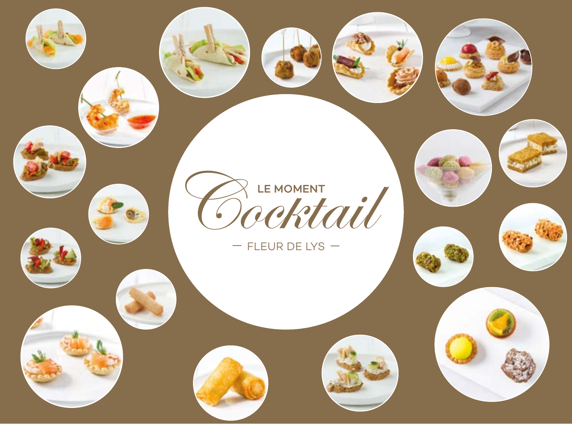

 $-$  FLEUR DE LYS  $-$ 



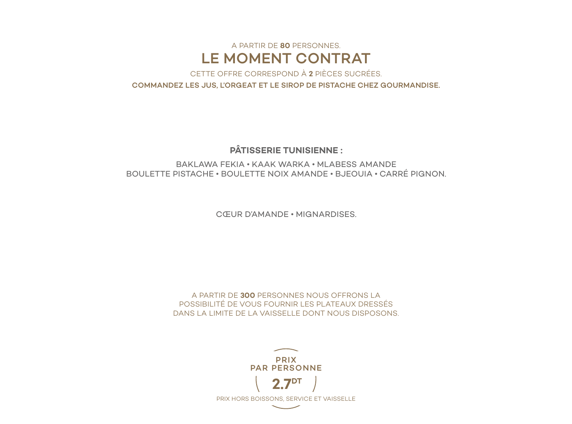# LE MOMENT CONTRAT A PARTIR DE **80** PERSONNES.

CETTE OFFRE CORRESPOND À **2** PIÈCES SUCRÉES.

COMMANDEZ LES JUS, L'ORGEAT ET LE SIROP DE PISTACHE CHEZ GOURMANDISE.

### **PÂTISSERIE TUNISIENNE :**

#### BAKLAWA FEKIA • KAAK WARKA • MLABESS AMANDE BOULETTE PISTACHE • BOULETTE NOIX AMANDE • BJEOUIA • CARRÉ PIGNON.

CŒUR D'AMANDE • MIGNARDISES.

A PARTIR DE **300** PERSONNES NOUS OFFRONS LA POSSIBILITÉ DE VOUS FOURNIR LES PLATEAUX DRESSÉS DANS LA LIMITE DE LA VAISSELLE DONT NOUS DISPOSONS.

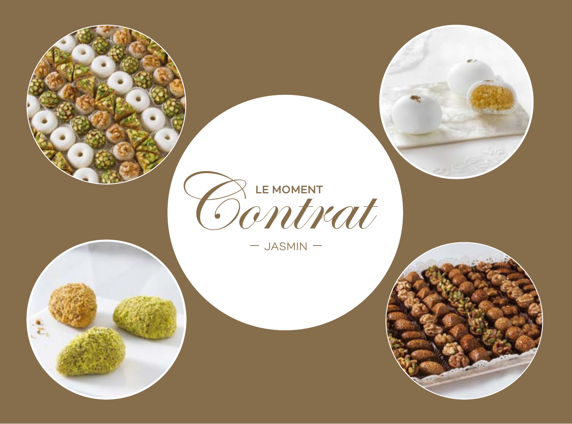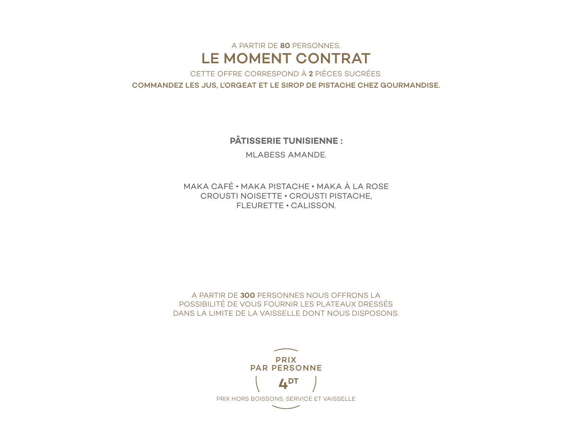# LE MOMENT CONTRAT A PARTIR DE **80** PERSONNES.

CETTE OFFRE CORRESPOND À **2** PIÈCES SUCRÉES.

COMMANDEZ LES JUS, L'ORGEAT ET LE SIROP DE PISTACHE CHEZ GOURMANDISE.

**PÂTISSERIE TUNISIENNE :**

MLABESS AMANDE.

MAKA CAFÉ • MAKA PISTACHE • MAKA À LA ROSE CROUSTI NOISETTE • CROUSTI PISTACHE, FLEURETTE • CALISSON.

A PARTIR DE **300** PERSONNES NOUS OFFRONS LA POSSIBILITÉ DE VOUS FOURNIR LES PLATEAUX DRESSÉS DANS LA LIMITE DE LA VAISSELLE DONT NOUS DISPOSONS.

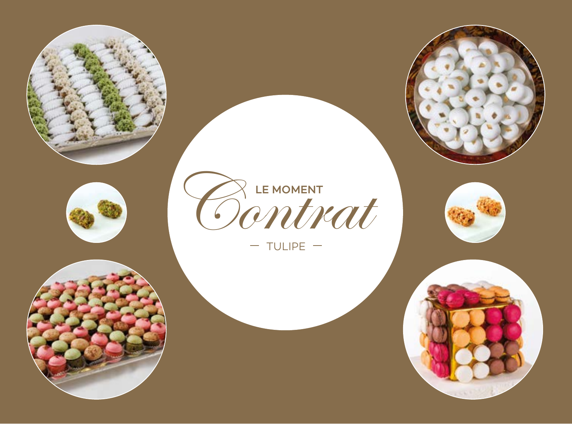







 $-$  TULIPE  $-$ 





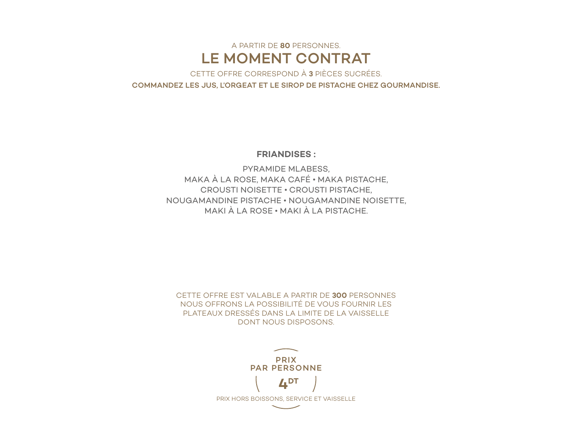# LE MOMENT CONTRAT A PARTIR DE **80** PERSONNES.

CETTE OFFRE CORRESPOND À **3** PIÈCES SUCRÉES.

COMMANDEZ LES JUS, L'ORGEAT ET LE SIROP DE PISTACHE CHEZ GOURMANDISE.

**FRIANDISES :**

PYRAMIDE MLABESS, MAKA À LA ROSE, MAKA CAFÉ • MAKA PISTACHE, CROUSTI NOISETTE • CROUSTI PISTACHE, NOUGAMANDINE PISTACHE • NOUGAMANDINE NOISETTE, MAKI À LA ROSE • MAKI À LA PISTACHE.

CETTE OFFRE EST VALABLE A PARTIR DE **300** PERSONNES NOUS OFFRONS LA POSSIBILITÉ DE VOUS FOURNIR LES PLATEAUX DRESSÉS DANS LA LIMITE DE LA VAISSELLE DONT NOUS DISPOSONS.

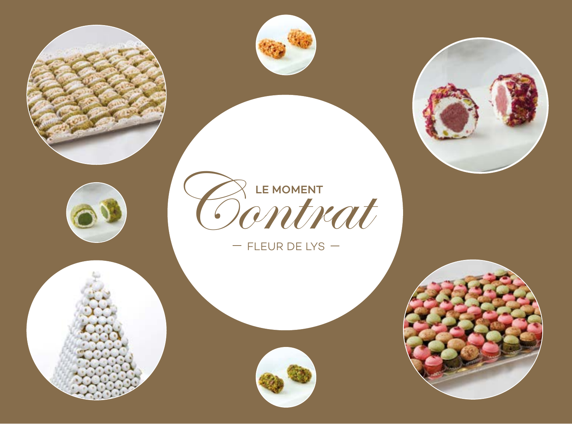







 $-$  FLEUR DE LYS  $-$ 

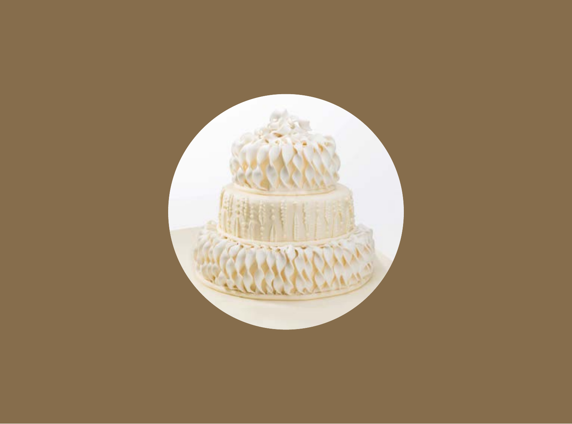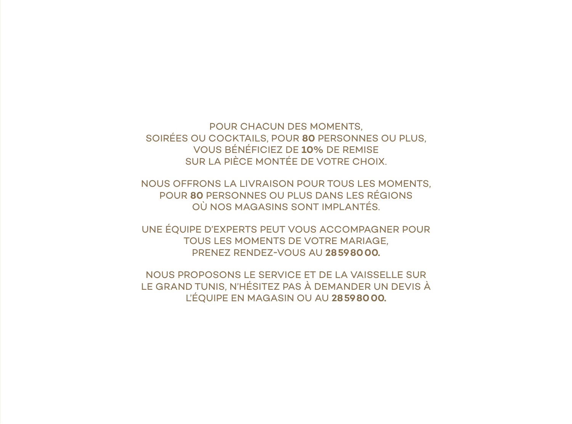POUR CHACUN DES MOMENTS, SOIRÉES OU COCKTAILS, POUR **80** PERSONNES OU PLUS, VOUS BÉNÉFICIEZ DE **10%** DE REMISE SUR LA PIÈCE MONTÉE DE VOTRE CHOIX.

NOUS OFFRONS LA LIVRAISON POUR TOUS LES MOMENTS, POUR **80** PERSONNES OU PLUS DANS LES RÉGIONS OÙ NOS MAGASINS SONT IMPLANTÉS.

UNE ÉQUIPE D'EXPERTS PEUT VOUS ACCOMPAGNER POUR TOUS LES MOMENTS DE VOTRE MARIAGE, PRENEZ RENDEZ-VOUS AU **28598000.**

NOUS PROPOSONS LE SERVICE ET DE LA VAISSELLE SUR LE GRAND TUNIS, N'HÉSITEZ PAS À DEMANDER UN DEVIS À L'ÉQUIPE EN MAGASIN OU AU **28598000.**